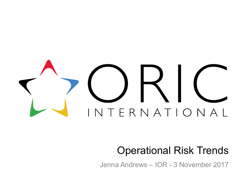# TERNATIONAL

# Operational Risk Trends

Jenna Andrews – IOR - 3 November 2017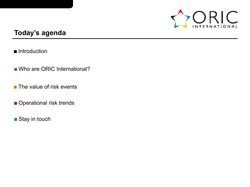

### **Today's agenda**

- Introduction
- Who are ORIC International?
- The value of risk events
- Operational risk trends
- Stay in touch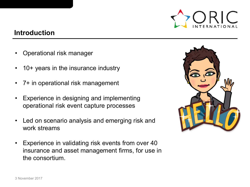

#### **Introduction**

- Operational risk manager
- 10+ years in the insurance industry
- 7+ in operational risk management
- Experience in designing and implementing operational risk event capture processes
- Led on scenario analysis and emerging risk and work streams
- Experience in validating risk events from over 40 insurance and asset management firms, for use in the consortium.

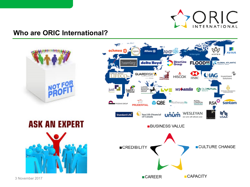

#### **Who are ORIC International?**

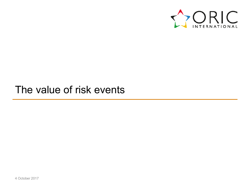

# The value of risk events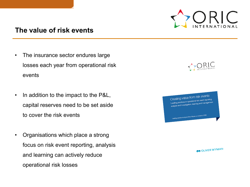

#### **The value of risk events**

- The insurance sector endures large losses each year from operational risk events
- In addition to the impact to the P&L, capital reserves need to be set aside to cover the risk events
- Organisations which place a strong focus on risk event reporting, analysis and learning can actively reduce operational risk losses

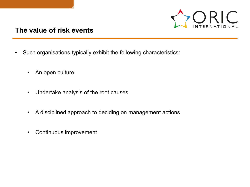

#### **The value of risk events**

- Such organisations typically exhibit the following characteristics:
	- An open culture
	- Undertake analysis of the root causes
	- A disciplined approach to deciding on management actions
	- Continuous improvement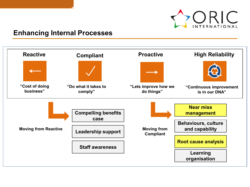

#### **Enhancing Internal Processes**

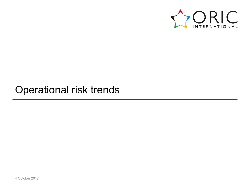

# Operational risk trends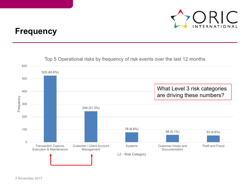

## **Frequency**

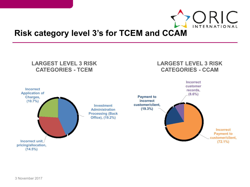

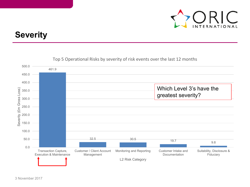

## **Severity**



#### Top 5 Operational Risks by severity of risk events over the last 12 months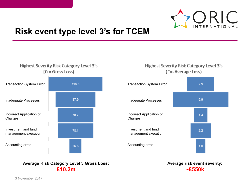

2.9

## **Risk event type level 3's for TCEM**

#### Highest Severity Risk Category Level 3's (Em Gross Loss)

#### **Highest Severity Risk Category Level 3's** (Em Average Loss)





Transaction System Error

**Average Risk Category Level 3 Gross Loss: £10.2m**

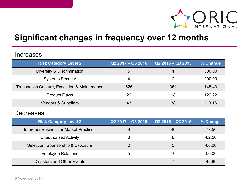

## **Significant changes in frequency over 12 months**

#### Increases

| <b>Risk Category Level 2</b>                 | Q2 2017 - Q3 2016 | $Q22016 - Q32015$ | % Change |
|----------------------------------------------|-------------------|-------------------|----------|
| Diversity & Discrimination                   | 5                 |                   | 500.00   |
| <b>Systems Security</b>                      | 4                 | $\mathcal{P}$     | 200.00   |
| Transaction Capture, Execution & Maintenance | 525               | 361               | 145.43   |
| <b>Product Flaws</b>                         | 22                | 18                | 122.22   |
| <b>Vendors &amp; Suppliers</b>               | 43                | 38                | 113.16   |

#### **Decreases**

| <b>Risk Category Level 2</b>                 | $Q22017 - Q32016$ | $Q22016 - Q32015$ | % Change |
|----------------------------------------------|-------------------|-------------------|----------|
| <b>Improper Business or Market Practices</b> | 9                 | 40                | -77.50   |
| <b>Unauthorised Activity</b>                 | 3                 | 8                 | -62.50   |
| Selection, Sponsorship & Exposure            | 2                 | 5                 | -60.00   |
| <b>Employee Relations</b>                    | 5                 | 10                | -50.00   |
| Disasters and Other Events                   | $\overline{4}$    |                   | -42.86   |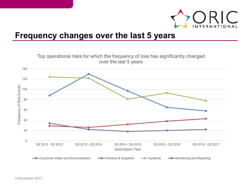

## **Frequency changes over the last 5 years**

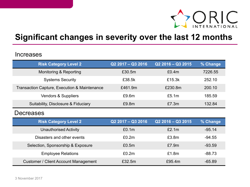

## **Significant changes in severity over the last 12 months**

#### **Increases**

| <b>Risk Category Level 2</b>                 | Q2 2017 - Q3 2016 | $Q2$ 2016 - Q3 2015 | % Change |
|----------------------------------------------|-------------------|---------------------|----------|
| Monitoring & Reporting                       | £30.5m            | £0.4m               | 7226.55  |
| <b>Systems Security</b>                      | £38.5k            | £15.3k              | 252.10   |
| Transaction Capture, Execution & Maintenance | £461.9m           | £230.8m             | 200.10   |
| <b>Vendors &amp; Suppliers</b>               | £9.6m             | £5.1m               | 185.59   |
| Suitability, Disclosure & Fiduciary          | £9.8m             | £7.3m               | 132.84   |
| <b>Decreases</b>                             |                   |                     |          |
| <b>Risk Category Level 2</b>                 | Q2 2017 - Q3 2016 | Q2 2016 - Q3 2015   | % Change |
| <b>Unauthorised Activity</b>                 | £0.1m             | £2.1m               | $-95.14$ |
| Disasters and other events                   | £0.2m             | £3.8m               | $-94.55$ |
| Selection, Sponsorship & Exposure            | £0.5m             | £7.9m               | $-93.59$ |
| <b>Employee Relations</b>                    | £0.2m             | £1.8m               | $-88.73$ |
| <b>Customer / Client Account Management</b>  | £32.5m            | £95.4m              | $-65.89$ |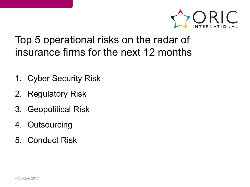

# Top 5 operational risks on the radar of insurance firms for the next 12 months

- 1. Cyber Security Risk
- 2. Regulatory Risk
- 3. Geopolitical Risk
- 4. Outsourcing
- 5. Conduct Risk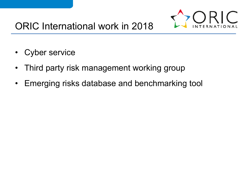

- Cyber service
- Third party risk management working group
- Emerging risks database and benchmarking tool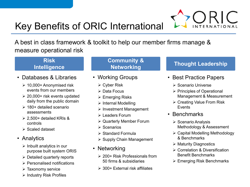# Key Benefits of ORIC International

A best in class framework & toolkit to help our member firms manage & measure operational risk

#### **Risk Intelligence**

- Databases & Libraries
	- $\geq 10,000+$  Anonymised risk events from our members
	- $\geq$  20,000+ risk events updated daily from the public domain
	- $\geq 180+$  detailed scenario assessments
	- $\geq$  2,500+ detailed KRIs & controls
	- $\triangleright$  Scaled dataset

#### • Analytics

- $\triangleright$  Inbuilt analytics in our purpose built system ORIS
- $\triangleright$  Detailed quarterly reports
- Personalised notifications
- $\triangleright$  Taxonomy service
- $\triangleright$  Industry Risk Profiles

# **Community &**

- Working Groups
	- Cyber Risk
	- $\triangleright$  Data Focus
	- $\triangleright$  Emerging Risks
	- $\triangleright$  Internal Modelling
	- $\triangleright$  Investment Management
	- **Eaders Forum**
	- Quarterly Member Forum
	- $\triangleright$  Scenarios
	- $\triangleright$  Standard Formula
	- $\triangleright$  Supply Chain Management
- Networking
	- ▶ 200+ Risk Professionals from 50 firms & subsidiaries
	- $\geq$  300+ External risk affiliates

## **Networking Thought Leadership**

- Best Practice Papers
	- $\triangleright$  Scenario Universe
	- $\triangleright$  Principles of Operational Management & Measurement
	- $\triangleright$  Creating Value From Risk Events
- Benchmarks
	- $\triangleright$  Scenario Analysis Methodology & Assessment
	- Capital Modelling Methodology & Benchmarks
	- $\triangleright$  Maturity Diagnostics
	- Correlation & Diversification Benefit Benchmarks
	- $\triangleright$  Emerging Risk Benchmarks

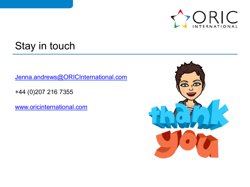

# Stay in touch

[Jenna.andrews@ORICInternational.com](mailto:Jenna.andrews@ORICInternational.com)

+44 (0)207 216 7355

[www.oricinternational.com](http://www.oricinternational.com/)

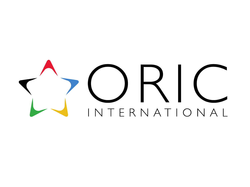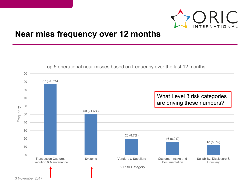

## **Near miss frequency over 12 months**